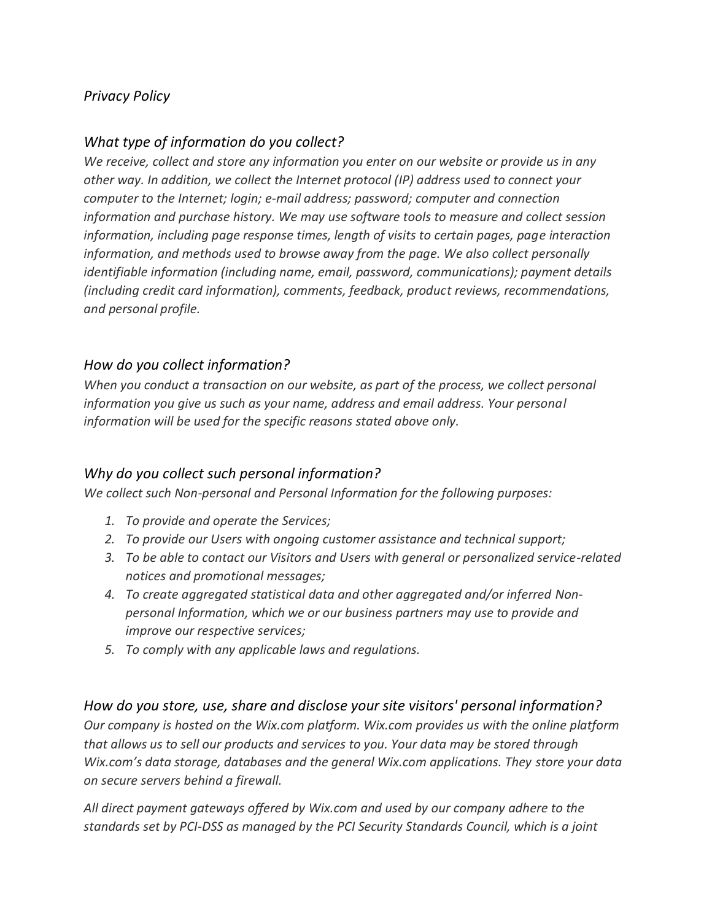# *Privacy Policy*

# *What type of information do you collect?*

*We receive, collect and store any information you enter on our website or provide us in any other way. In addition, we collect the Internet protocol (IP) address used to connect your computer to the Internet; login; e-mail address; password; computer and connection information and purchase history. We may use software tools to measure and collect session information, including page response times, length of visits to certain pages, page interaction information, and methods used to browse away from the page. We also collect personally identifiable information (including name, email, password, communications); payment details (including credit card information), comments, feedback, product reviews, recommendations, and personal profile.*

## *How do you collect information?*

*When you conduct a transaction on our website, as part of the process, we collect personal information you give us such as your name, address and email address. Your personal information will be used for the specific reasons stated above only.*

## *Why do you collect such personal information?*

*We collect such Non-personal and Personal Information for the following purposes:*

- *1. To provide and operate the Services;*
- *2. To provide our Users with ongoing customer assistance and technical support;*
- *3. To be able to contact our Visitors and Users with general or personalized service-related notices and promotional messages;*
- *4. To create aggregated statistical data and other aggregated and/or inferred Nonpersonal Information, which we or our business partners may use to provide and improve our respective services;*
- *5. To comply with any applicable laws and regulations.*

#### *How do you store, use, share and disclose your site visitors' personal information?*

*Our company is hosted on the Wix.com platform. Wix.com provides us with the online platform that allows us to sell our products and services to you. Your data may be stored through Wix.com's data storage, databases and the general Wix.com applications. They store your data on secure servers behind a firewall.* 

*All direct payment gateways offered by Wix.com and used by our company adhere to the standards set by PCI-DSS as managed by the PCI Security Standards Council, which is a joint*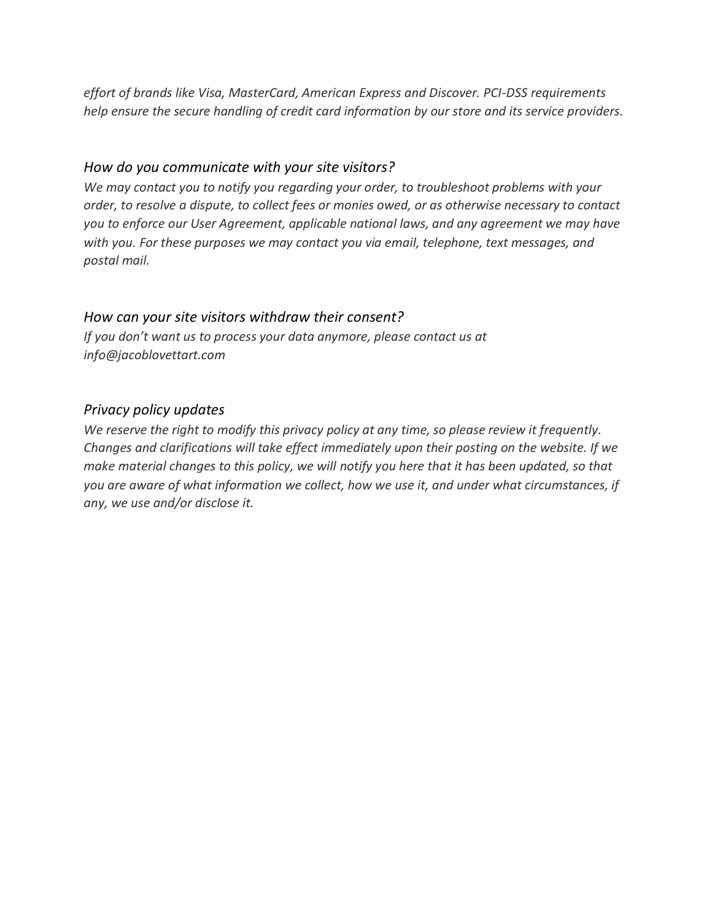*effort of brands like Visa, MasterCard, American Express and Discover. PCI-DSS requirements help ensure the secure handling of credit card information by our store and its service providers.*

## *How do you communicate with your site visitors?*

*We may contact you to notify you regarding your order, to troubleshoot problems with your order, to resolve a dispute, to collect fees or monies owed, or as otherwise necessary to contact you to enforce our User Agreement, applicable national laws, and any agreement we may have with you. For these purposes we may contact you via email, telephone, text messages, and postal mail.*

# *How can your site visitors withdraw their consent?*

*If you don't want us to process your data anymore, please contact us at info@jacoblovettart.com*

# *Privacy policy updates*

*We reserve the right to modify this privacy policy at any time, so please review it frequently. Changes and clarifications will take effect immediately upon their posting on the website. If we make material changes to this policy, we will notify you here that it has been updated, so that you are aware of what information we collect, how we use it, and under what circumstances, if any, we use and/or disclose it.*